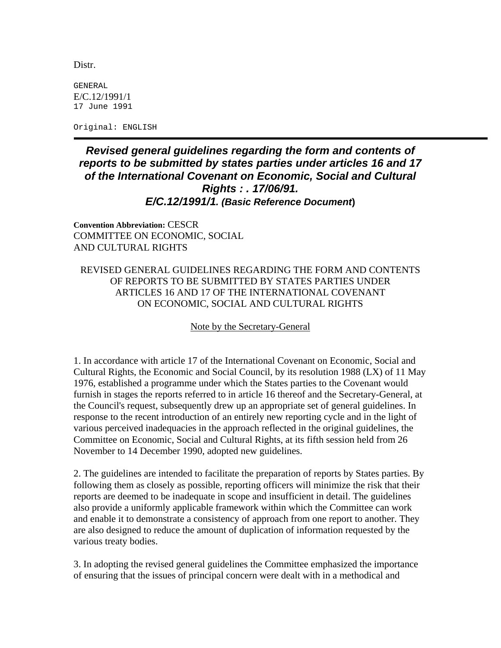Distr.

GENERAL E/C.12/1991/1 17 June 1991

Original: ENGLISH

## *Revised general guidelines regarding the form and contents of reports to be submitted by states parties under articles 16 and 17 of the International Covenant on Economic, Social and Cultural Rights : . 17/06/91. E/C.12/1991/1. (Basic Reference Document***)**

**Convention Abbreviation:** CESCR COMMITTEE ON ECONOMIC, SOCIAL AND CULTURAL RIGHTS

## REVISED GENERAL GUIDELINES REGARDING THE FORM AND CONTENTS OF REPORTS TO BE SUBMITTED BY STATES PARTIES UNDER ARTICLES 16 AND 17 OF THE INTERNATIONAL COVENANT ON ECONOMIC, SOCIAL AND CULTURAL RIGHTS

Note by the Secretary-General

1. In accordance with article 17 of the International Covenant on Economic, Social and Cultural Rights, the Economic and Social Council, by its resolution 1988 (LX) of 11 May 1976, established a programme under which the States parties to the Covenant would furnish in stages the reports referred to in article 16 thereof and the Secretary-General, at the Council's request, subsequently drew up an appropriate set of general guidelines. In response to the recent introduction of an entirely new reporting cycle and in the light of various perceived inadequacies in the approach reflected in the original guidelines, the Committee on Economic, Social and Cultural Rights, at its fifth session held from 26 November to 14 December 1990, adopted new guidelines.

2. The guidelines are intended to facilitate the preparation of reports by States parties. By following them as closely as possible, reporting officers will minimize the risk that their reports are deemed to be inadequate in scope and insufficient in detail. The guidelines also provide a uniformly applicable framework within which the Committee can work and enable it to demonstrate a consistency of approach from one report to another. They are also designed to reduce the amount of duplication of information requested by the various treaty bodies.

3. In adopting the revised general guidelines the Committee emphasized the importance of ensuring that the issues of principal concern were dealt with in a methodical and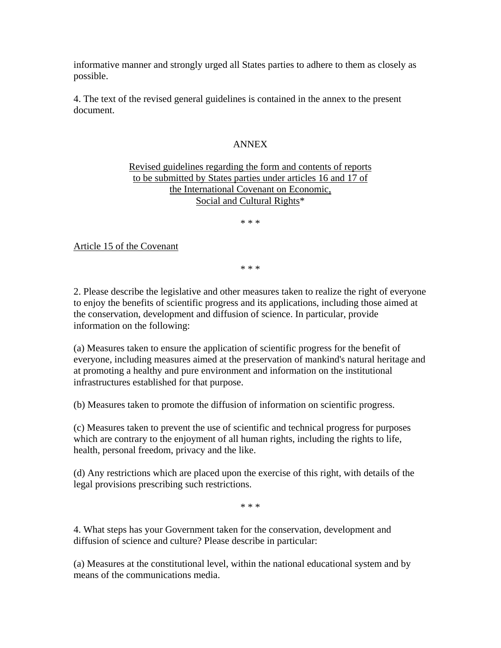informative manner and strongly urged all States parties to adhere to them as closely as possible.

4. The text of the revised general guidelines is contained in the annex to the present document.

## ANNEX

## Revised guidelines regarding the form and contents of reports to be submitted by States parties under articles 16 and 17 of the International Covenant on Economic, Social and Cultural Rights\*

\* \* \*

Article 15 of the Covenant

\* \* \*

2. Please describe the legislative and other measures taken to realize the right of everyone to enjoy the benefits of scientific progress and its applications, including those aimed at the conservation, development and diffusion of science. In particular, provide information on the following:

(a) Measures taken to ensure the application of scientific progress for the benefit of everyone, including measures aimed at the preservation of mankind's natural heritage and at promoting a healthy and pure environment and information on the institutional infrastructures established for that purpose.

(b) Measures taken to promote the diffusion of information on scientific progress.

(c) Measures taken to prevent the use of scientific and technical progress for purposes which are contrary to the enjoyment of all human rights, including the rights to life, health, personal freedom, privacy and the like.

(d) Any restrictions which are placed upon the exercise of this right, with details of the legal provisions prescribing such restrictions.

\* \* \*

4. What steps has your Government taken for the conservation, development and diffusion of science and culture? Please describe in particular:

(a) Measures at the constitutional level, within the national educational system and by means of the communications media.